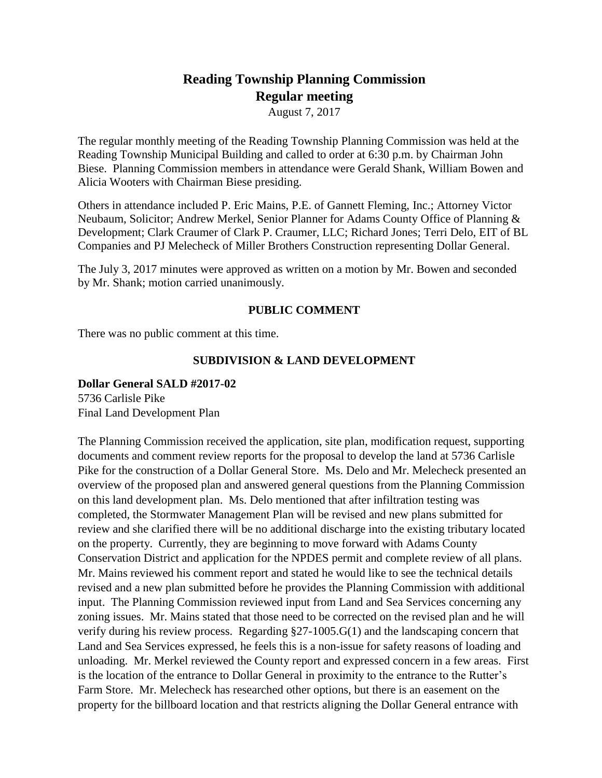# **Reading Township Planning Commission Regular meeting**

August 7, 2017

The regular monthly meeting of the Reading Township Planning Commission was held at the Reading Township Municipal Building and called to order at 6:30 p.m. by Chairman John Biese. Planning Commission members in attendance were Gerald Shank, William Bowen and Alicia Wooters with Chairman Biese presiding.

Others in attendance included P. Eric Mains, P.E. of Gannett Fleming, Inc.; Attorney Victor Neubaum, Solicitor; Andrew Merkel, Senior Planner for Adams County Office of Planning & Development; Clark Craumer of Clark P. Craumer, LLC; Richard Jones; Terri Delo, EIT of BL Companies and PJ Melecheck of Miller Brothers Construction representing Dollar General.

The July 3, 2017 minutes were approved as written on a motion by Mr. Bowen and seconded by Mr. Shank; motion carried unanimously.

# **PUBLIC COMMENT**

There was no public comment at this time.

# **SUBDIVISION & LAND DEVELOPMENT**

## **Dollar General SALD #2017-02**

5736 Carlisle Pike Final Land Development Plan

The Planning Commission received the application, site plan, modification request, supporting documents and comment review reports for the proposal to develop the land at 5736 Carlisle Pike for the construction of a Dollar General Store. Ms. Delo and Mr. Melecheck presented an overview of the proposed plan and answered general questions from the Planning Commission on this land development plan. Ms. Delo mentioned that after infiltration testing was completed, the Stormwater Management Plan will be revised and new plans submitted for review and she clarified there will be no additional discharge into the existing tributary located on the property. Currently, they are beginning to move forward with Adams County Conservation District and application for the NPDES permit and complete review of all plans. Mr. Mains reviewed his comment report and stated he would like to see the technical details revised and a new plan submitted before he provides the Planning Commission with additional input. The Planning Commission reviewed input from Land and Sea Services concerning any zoning issues. Mr. Mains stated that those need to be corrected on the revised plan and he will verify during his review process. Regarding §27-1005.G(1) and the landscaping concern that Land and Sea Services expressed, he feels this is a non-issue for safety reasons of loading and unloading. Mr. Merkel reviewed the County report and expressed concern in a few areas. First is the location of the entrance to Dollar General in proximity to the entrance to the Rutter's Farm Store. Mr. Melecheck has researched other options, but there is an easement on the property for the billboard location and that restricts aligning the Dollar General entrance with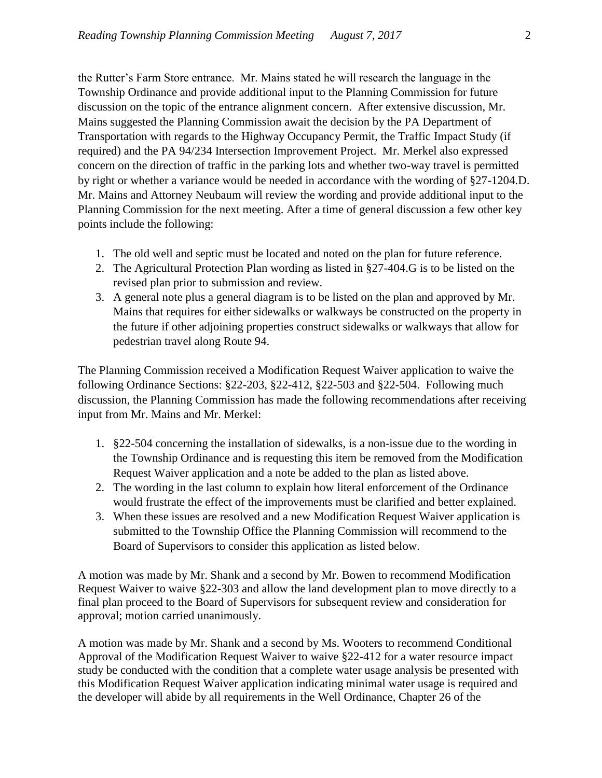the Rutter's Farm Store entrance. Mr. Mains stated he will research the language in the Township Ordinance and provide additional input to the Planning Commission for future discussion on the topic of the entrance alignment concern. After extensive discussion, Mr. Mains suggested the Planning Commission await the decision by the PA Department of Transportation with regards to the Highway Occupancy Permit, the Traffic Impact Study (if required) and the PA 94/234 Intersection Improvement Project. Mr. Merkel also expressed concern on the direction of traffic in the parking lots and whether two-way travel is permitted by right or whether a variance would be needed in accordance with the wording of §27-1204.D. Mr. Mains and Attorney Neubaum will review the wording and provide additional input to the Planning Commission for the next meeting. After a time of general discussion a few other key points include the following:

- 1. The old well and septic must be located and noted on the plan for future reference.
- 2. The Agricultural Protection Plan wording as listed in §27-404.G is to be listed on the revised plan prior to submission and review.
- 3. A general note plus a general diagram is to be listed on the plan and approved by Mr. Mains that requires for either sidewalks or walkways be constructed on the property in the future if other adjoining properties construct sidewalks or walkways that allow for pedestrian travel along Route 94.

The Planning Commission received a Modification Request Waiver application to waive the following Ordinance Sections: §22-203, §22-412, §22-503 and §22-504. Following much discussion, the Planning Commission has made the following recommendations after receiving input from Mr. Mains and Mr. Merkel:

- 1. §22-504 concerning the installation of sidewalks, is a non-issue due to the wording in the Township Ordinance and is requesting this item be removed from the Modification Request Waiver application and a note be added to the plan as listed above.
- 2. The wording in the last column to explain how literal enforcement of the Ordinance would frustrate the effect of the improvements must be clarified and better explained.
- 3. When these issues are resolved and a new Modification Request Waiver application is submitted to the Township Office the Planning Commission will recommend to the Board of Supervisors to consider this application as listed below.

A motion was made by Mr. Shank and a second by Mr. Bowen to recommend Modification Request Waiver to waive §22-303 and allow the land development plan to move directly to a final plan proceed to the Board of Supervisors for subsequent review and consideration for approval; motion carried unanimously.

A motion was made by Mr. Shank and a second by Ms. Wooters to recommend Conditional Approval of the Modification Request Waiver to waive §22-412 for a water resource impact study be conducted with the condition that a complete water usage analysis be presented with this Modification Request Waiver application indicating minimal water usage is required and the developer will abide by all requirements in the Well Ordinance, Chapter 26 of the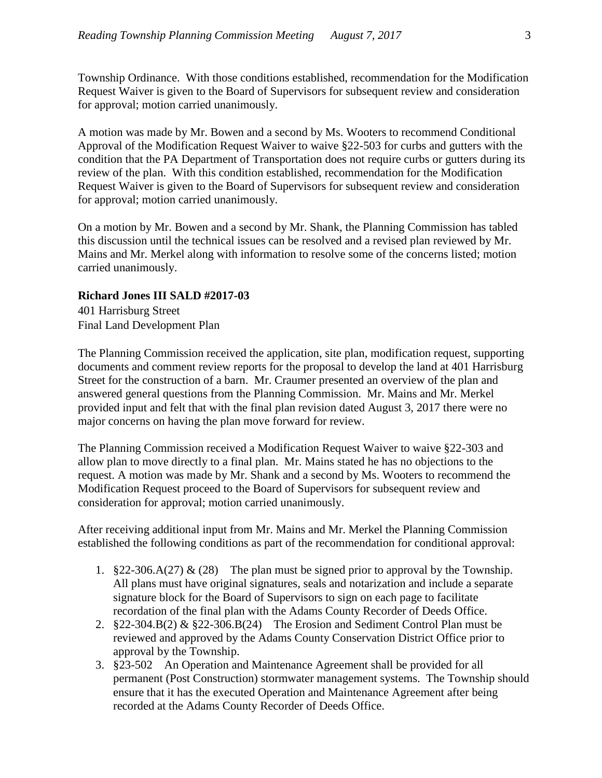Township Ordinance. With those conditions established, recommendation for the Modification Request Waiver is given to the Board of Supervisors for subsequent review and consideration for approval; motion carried unanimously.

A motion was made by Mr. Bowen and a second by Ms. Wooters to recommend Conditional Approval of the Modification Request Waiver to waive §22-503 for curbs and gutters with the condition that the PA Department of Transportation does not require curbs or gutters during its review of the plan. With this condition established, recommendation for the Modification Request Waiver is given to the Board of Supervisors for subsequent review and consideration for approval; motion carried unanimously.

On a motion by Mr. Bowen and a second by Mr. Shank, the Planning Commission has tabled this discussion until the technical issues can be resolved and a revised plan reviewed by Mr. Mains and Mr. Merkel along with information to resolve some of the concerns listed; motion carried unanimously.

## **Richard Jones III SALD #2017-03**

401 Harrisburg Street Final Land Development Plan

The Planning Commission received the application, site plan, modification request, supporting documents and comment review reports for the proposal to develop the land at 401 Harrisburg Street for the construction of a barn. Mr. Craumer presented an overview of the plan and answered general questions from the Planning Commission. Mr. Mains and Mr. Merkel provided input and felt that with the final plan revision dated August 3, 2017 there were no major concerns on having the plan move forward for review.

The Planning Commission received a Modification Request Waiver to waive §22-303 and allow plan to move directly to a final plan. Mr. Mains stated he has no objections to the request. A motion was made by Mr. Shank and a second by Ms. Wooters to recommend the Modification Request proceed to the Board of Supervisors for subsequent review and consideration for approval; motion carried unanimously.

After receiving additional input from Mr. Mains and Mr. Merkel the Planning Commission established the following conditions as part of the recommendation for conditional approval:

- 1. §22-306.A(27) & (28) The plan must be signed prior to approval by the Township. All plans must have original signatures, seals and notarization and include a separate signature block for the Board of Supervisors to sign on each page to facilitate recordation of the final plan with the Adams County Recorder of Deeds Office.
- 2. §22-304.B(2) & §22-306.B(24) The Erosion and Sediment Control Plan must be reviewed and approved by the Adams County Conservation District Office prior to approval by the Township.
- 3. §23-502 An Operation and Maintenance Agreement shall be provided for all permanent (Post Construction) stormwater management systems. The Township should ensure that it has the executed Operation and Maintenance Agreement after being recorded at the Adams County Recorder of Deeds Office.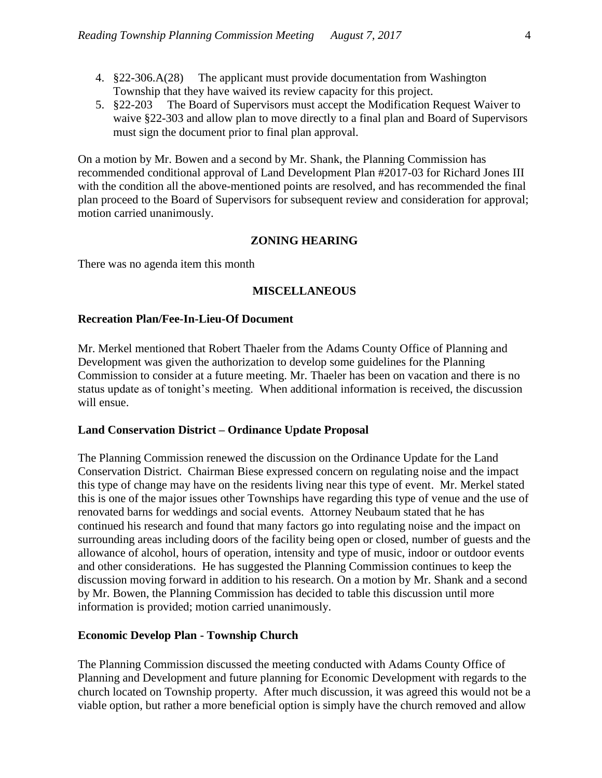- 4. §22-306.A(28) The applicant must provide documentation from Washington Township that they have waived its review capacity for this project.
- 5. §22-203 The Board of Supervisors must accept the Modification Request Waiver to waive §22-303 and allow plan to move directly to a final plan and Board of Supervisors must sign the document prior to final plan approval.

On a motion by Mr. Bowen and a second by Mr. Shank, the Planning Commission has recommended conditional approval of Land Development Plan #2017-03 for Richard Jones III with the condition all the above-mentioned points are resolved, and has recommended the final plan proceed to the Board of Supervisors for subsequent review and consideration for approval; motion carried unanimously.

#### **ZONING HEARING**

There was no agenda item this month

#### **MISCELLANEOUS**

#### **Recreation Plan/Fee-In-Lieu-Of Document**

Mr. Merkel mentioned that Robert Thaeler from the Adams County Office of Planning and Development was given the authorization to develop some guidelines for the Planning Commission to consider at a future meeting. Mr. Thaeler has been on vacation and there is no status update as of tonight's meeting. When additional information is received, the discussion will ensue.

#### **Land Conservation District – Ordinance Update Proposal**

The Planning Commission renewed the discussion on the Ordinance Update for the Land Conservation District. Chairman Biese expressed concern on regulating noise and the impact this type of change may have on the residents living near this type of event. Mr. Merkel stated this is one of the major issues other Townships have regarding this type of venue and the use of renovated barns for weddings and social events. Attorney Neubaum stated that he has continued his research and found that many factors go into regulating noise and the impact on surrounding areas including doors of the facility being open or closed, number of guests and the allowance of alcohol, hours of operation, intensity and type of music, indoor or outdoor events and other considerations. He has suggested the Planning Commission continues to keep the discussion moving forward in addition to his research. On a motion by Mr. Shank and a second by Mr. Bowen, the Planning Commission has decided to table this discussion until more information is provided; motion carried unanimously.

#### **Economic Develop Plan - Township Church**

The Planning Commission discussed the meeting conducted with Adams County Office of Planning and Development and future planning for Economic Development with regards to the church located on Township property. After much discussion, it was agreed this would not be a viable option, but rather a more beneficial option is simply have the church removed and allow